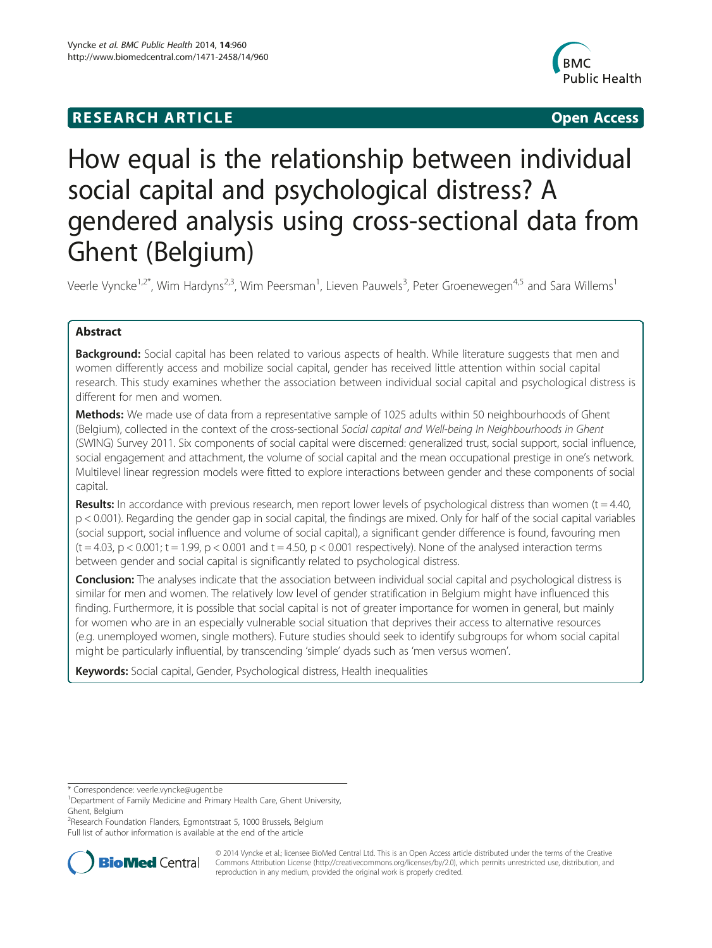## **RESEARCH ARTICLE CONSUMING A RESEARCH ARTICLE**



# How equal is the relationship between individual social capital and psychological distress? A gendered analysis using cross-sectional data from Ghent (Belgium)

Veerle Vyncke<sup>1,2\*</sup>, Wim Hardyns<sup>2,3</sup>, Wim Peersman<sup>1</sup>, Lieven Pauwels<sup>3</sup>, Peter Groenewegen<sup>4,5</sup> and Sara Willems<sup>1</sup>

## Abstract

**Background:** Social capital has been related to various aspects of health. While literature suggests that men and women differently access and mobilize social capital, gender has received little attention within social capital research. This study examines whether the association between individual social capital and psychological distress is different for men and women.

Methods: We made use of data from a representative sample of 1025 adults within 50 neighbourhoods of Ghent (Belgium), collected in the context of the cross-sectional Social capital and Well-being In Neighbourhoods in Ghent (SWING) Survey 2011. Six components of social capital were discerned: generalized trust, social support, social influence, social engagement and attachment, the volume of social capital and the mean occupational prestige in one's network. Multilevel linear regression models were fitted to explore interactions between gender and these components of social capital.

Results: In accordance with previous research, men report lower levels of psychological distress than women (t =  $4.40$ , p < 0.001). Regarding the gender gap in social capital, the findings are mixed. Only for half of the social capital variables (social support, social influence and volume of social capital), a significant gender difference is found, favouring men  $(t = 4.03, p < 0.001; t = 1.99, p < 0.001$  and  $t = 4.50, p < 0.001$  respectively). None of the analysed interaction terms between gender and social capital is significantly related to psychological distress.

Conclusion: The analyses indicate that the association between individual social capital and psychological distress is similar for men and women. The relatively low level of gender stratification in Belgium might have influenced this finding. Furthermore, it is possible that social capital is not of greater importance for women in general, but mainly for women who are in an especially vulnerable social situation that deprives their access to alternative resources (e.g. unemployed women, single mothers). Future studies should seek to identify subgroups for whom social capital might be particularly influential, by transcending 'simple' dyads such as 'men versus women'.

Keywords: Social capital, Gender, Psychological distress, Health inequalities

\* Correspondence: [veerle.vyncke@ugent.be](mailto:veerle.vyncke@ugent.be) <sup>1</sup>

2 Research Foundation Flanders, Egmontstraat 5, 1000 Brussels, Belgium Full list of author information is available at the end of the article



© 2014 Vyncke et al.; licensee BioMed Central Ltd. This is an Open Access article distributed under the terms of the Creative Commons Attribution License [\(http://creativecommons.org/licenses/by/2.0\)](http://creativecommons.org/licenses/by/2.0), which permits unrestricted use, distribution, and reproduction in any medium, provided the original work is properly credited.

<sup>&</sup>lt;sup>1</sup>Department of Family Medicine and Primary Health Care, Ghent University, Ghent, Belgium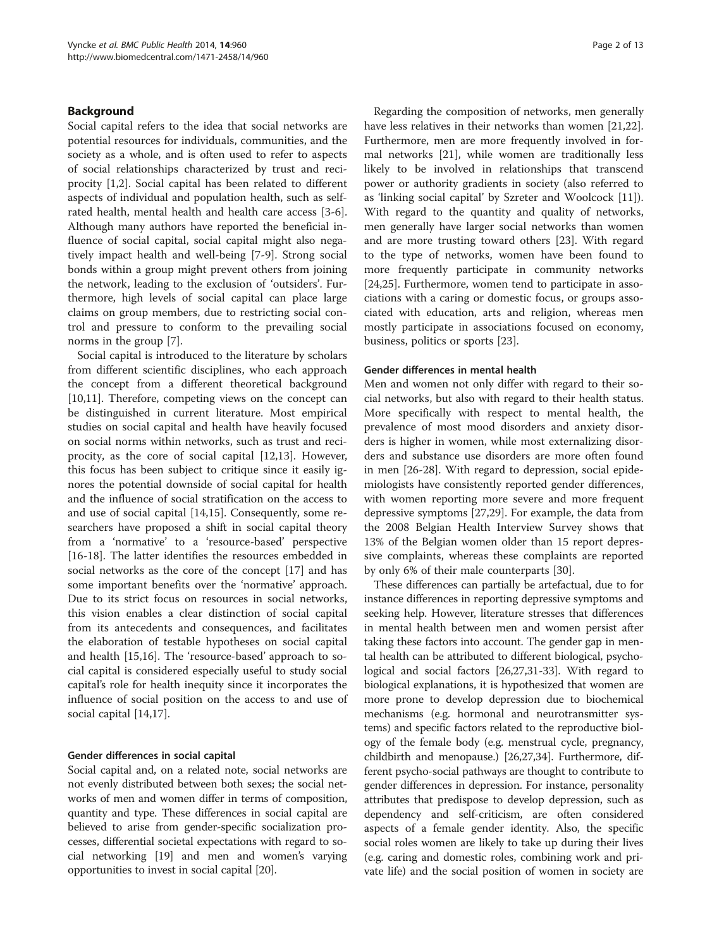## Background

Social capital refers to the idea that social networks are potential resources for individuals, communities, and the society as a whole, and is often used to refer to aspects of social relationships characterized by trust and reciprocity [\[1,2](#page-10-0)]. Social capital has been related to different aspects of individual and population health, such as selfrated health, mental health and health care access [[3-6](#page-10-0)]. Although many authors have reported the beneficial influence of social capital, social capital might also negatively impact health and well-being [\[7](#page-10-0)-[9\]](#page-10-0). Strong social bonds within a group might prevent others from joining the network, leading to the exclusion of 'outsiders'. Furthermore, high levels of social capital can place large claims on group members, due to restricting social control and pressure to conform to the prevailing social norms in the group [[7\]](#page-10-0).

Social capital is introduced to the literature by scholars from different scientific disciplines, who each approach the concept from a different theoretical background [[10,11\]](#page-10-0). Therefore, competing views on the concept can be distinguished in current literature. Most empirical studies on social capital and health have heavily focused on social norms within networks, such as trust and reciprocity, as the core of social capital [[12](#page-11-0),[13](#page-11-0)]. However, this focus has been subject to critique since it easily ignores the potential downside of social capital for health and the influence of social stratification on the access to and use of social capital [\[14,15](#page-11-0)]. Consequently, some researchers have proposed a shift in social capital theory from a 'normative' to a 'resource-based' perspective [[16-18](#page-11-0)]. The latter identifies the resources embedded in social networks as the core of the concept [[17](#page-11-0)] and has some important benefits over the 'normative' approach. Due to its strict focus on resources in social networks, this vision enables a clear distinction of social capital from its antecedents and consequences, and facilitates the elaboration of testable hypotheses on social capital and health [[15,16\]](#page-11-0). The 'resource-based' approach to social capital is considered especially useful to study social capital's role for health inequity since it incorporates the influence of social position on the access to and use of social capital [\[14,17](#page-11-0)].

## Gender differences in social capital

Social capital and, on a related note, social networks are not evenly distributed between both sexes; the social networks of men and women differ in terms of composition, quantity and type. These differences in social capital are believed to arise from gender-specific socialization processes, differential societal expectations with regard to social networking [\[19](#page-11-0)] and men and women's varying opportunities to invest in social capital [[20](#page-11-0)].

Regarding the composition of networks, men generally have less relatives in their networks than women [\[21,22](#page-11-0)]. Furthermore, men are more frequently involved in formal networks [\[21](#page-11-0)], while women are traditionally less likely to be involved in relationships that transcend power or authority gradients in society (also referred to as 'linking social capital' by Szreter and Woolcock [\[11](#page-10-0)]). With regard to the quantity and quality of networks, men generally have larger social networks than women and are more trusting toward others [[23\]](#page-11-0). With regard to the type of networks, women have been found to more frequently participate in community networks [[24,25\]](#page-11-0). Furthermore, women tend to participate in associations with a caring or domestic focus, or groups associated with education, arts and religion, whereas men mostly participate in associations focused on economy, business, politics or sports [\[23\]](#page-11-0).

#### Gender differences in mental health

Men and women not only differ with regard to their social networks, but also with regard to their health status. More specifically with respect to mental health, the prevalence of most mood disorders and anxiety disorders is higher in women, while most externalizing disorders and substance use disorders are more often found in men [[26](#page-11-0)-[28\]](#page-11-0). With regard to depression, social epidemiologists have consistently reported gender differences, with women reporting more severe and more frequent depressive symptoms [\[27,29](#page-11-0)]. For example, the data from the 2008 Belgian Health Interview Survey shows that 13% of the Belgian women older than 15 report depressive complaints, whereas these complaints are reported by only 6% of their male counterparts [[30\]](#page-11-0).

These differences can partially be artefactual, due to for instance differences in reporting depressive symptoms and seeking help. However, literature stresses that differences in mental health between men and women persist after taking these factors into account. The gender gap in mental health can be attributed to different biological, psychological and social factors [[26,27,31-33\]](#page-11-0). With regard to biological explanations, it is hypothesized that women are more prone to develop depression due to biochemical mechanisms (e.g. hormonal and neurotransmitter systems) and specific factors related to the reproductive biology of the female body (e.g. menstrual cycle, pregnancy, childbirth and menopause.) [[26](#page-11-0),[27,34\]](#page-11-0). Furthermore, different psycho-social pathways are thought to contribute to gender differences in depression. For instance, personality attributes that predispose to develop depression, such as dependency and self-criticism, are often considered aspects of a female gender identity. Also, the specific social roles women are likely to take up during their lives (e.g. caring and domestic roles, combining work and private life) and the social position of women in society are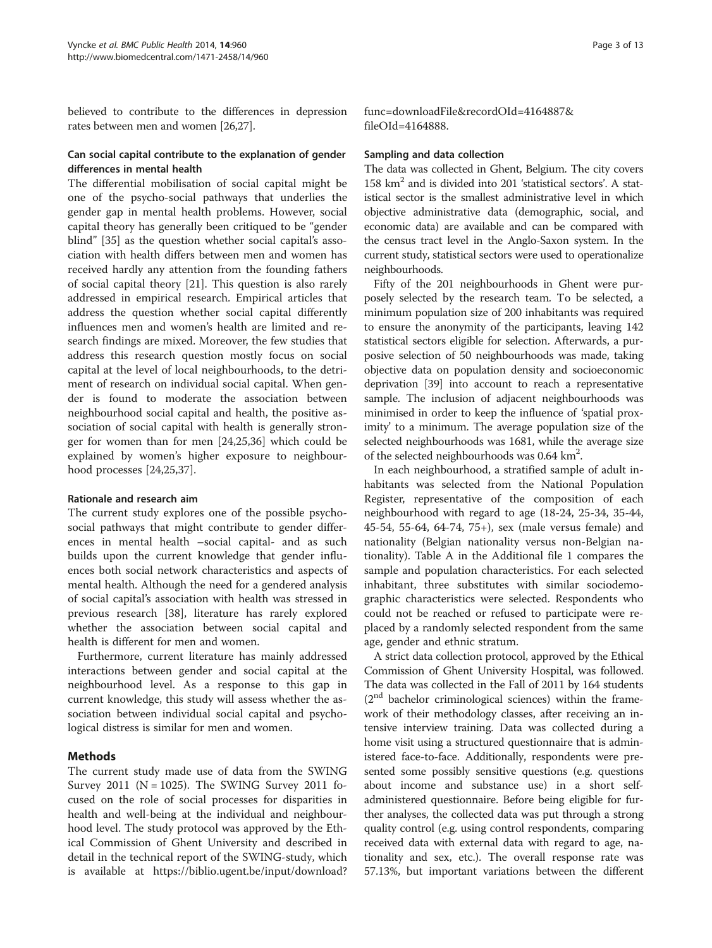believed to contribute to the differences in depression rates between men and women [\[26,27](#page-11-0)].

## Can social capital contribute to the explanation of gender differences in mental health

The differential mobilisation of social capital might be one of the psycho-social pathways that underlies the gender gap in mental health problems. However, social capital theory has generally been critiqued to be "gender blind" [[35\]](#page-11-0) as the question whether social capital's association with health differs between men and women has received hardly any attention from the founding fathers of social capital theory [\[21](#page-11-0)]. This question is also rarely addressed in empirical research. Empirical articles that address the question whether social capital differently influences men and women's health are limited and research findings are mixed. Moreover, the few studies that address this research question mostly focus on social capital at the level of local neighbourhoods, to the detriment of research on individual social capital. When gender is found to moderate the association between neighbourhood social capital and health, the positive association of social capital with health is generally stronger for women than for men [\[24,25,36](#page-11-0)] which could be explained by women's higher exposure to neighbourhood processes [\[24,25,37\]](#page-11-0).

#### Rationale and research aim

The current study explores one of the possible psychosocial pathways that might contribute to gender differences in mental health –social capital- and as such builds upon the current knowledge that gender influences both social network characteristics and aspects of mental health. Although the need for a gendered analysis of social capital's association with health was stressed in previous research [\[38\]](#page-11-0), literature has rarely explored whether the association between social capital and health is different for men and women.

Furthermore, current literature has mainly addressed interactions between gender and social capital at the neighbourhood level. As a response to this gap in current knowledge, this study will assess whether the association between individual social capital and psychological distress is similar for men and women.

## Methods

The current study made use of data from the SWING Survey 2011 ( $N = 1025$ ). The SWING Survey 2011 focused on the role of social processes for disparities in health and well-being at the individual and neighbourhood level. The study protocol was approved by the Ethical Commission of Ghent University and described in detail in the technical report of the SWING-study, which is available at [https://biblio.ugent.be/input/download?](https://biblio.ugent.be/input/download?func=downloadFile&recordOId=4164887&fileOId=4164888) [func=downloadFile&recordOId=4164887&](https://biblio.ugent.be/input/download?func=downloadFile&recordOId=4164887&fileOId=4164888) [fileOId=4164888](https://biblio.ugent.be/input/download?func=downloadFile&recordOId=4164887&fileOId=4164888).

#### Sampling and data collection

The data was collected in Ghent, Belgium. The city covers  $158 \text{ km}^2$  and is divided into 201 'statistical sectors'. A statistical sector is the smallest administrative level in which objective administrative data (demographic, social, and economic data) are available and can be compared with the census tract level in the Anglo-Saxon system. In the current study, statistical sectors were used to operationalize neighbourhoods.

Fifty of the 201 neighbourhoods in Ghent were purposely selected by the research team. To be selected, a minimum population size of 200 inhabitants was required to ensure the anonymity of the participants, leaving 142 statistical sectors eligible for selection. Afterwards, a purposive selection of 50 neighbourhoods was made, taking objective data on population density and socioeconomic deprivation [\[39\]](#page-11-0) into account to reach a representative sample. The inclusion of adjacent neighbourhoods was minimised in order to keep the influence of 'spatial proximity' to a minimum. The average population size of the selected neighbourhoods was 1681, while the average size of the selected neighbourhoods was 0.64 km<sup>2</sup>.

In each neighbourhood, a stratified sample of adult inhabitants was selected from the National Population Register, representative of the composition of each neighbourhood with regard to age (18-24, 25-34, 35-44, 45-54, 55-64, 64-74, 75+), sex (male versus female) and nationality (Belgian nationality versus non-Belgian nationality). Table A in the Additional file [1](#page-10-0) compares the sample and population characteristics. For each selected inhabitant, three substitutes with similar sociodemographic characteristics were selected. Respondents who could not be reached or refused to participate were replaced by a randomly selected respondent from the same age, gender and ethnic stratum.

A strict data collection protocol, approved by the Ethical Commission of Ghent University Hospital, was followed. The data was collected in the Fall of 2011 by 164 students  $(2<sup>nd</sup>$  bachelor criminological sciences) within the framework of their methodology classes, after receiving an intensive interview training. Data was collected during a home visit using a structured questionnaire that is administered face-to-face. Additionally, respondents were presented some possibly sensitive questions (e.g. questions about income and substance use) in a short selfadministered questionnaire. Before being eligible for further analyses, the collected data was put through a strong quality control (e.g. using control respondents, comparing received data with external data with regard to age, nationality and sex, etc.). The overall response rate was 57.13%, but important variations between the different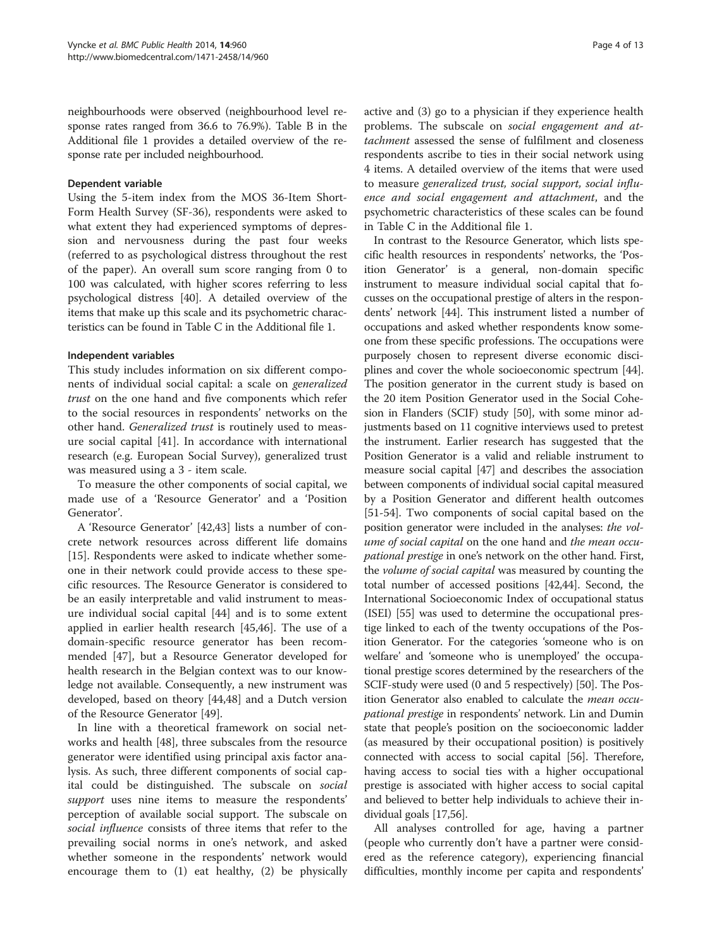neighbourhoods were observed (neighbourhood level response rates ranged from 36.6 to 76.9%). Table B in the Additional file [1](#page-10-0) provides a detailed overview of the response rate per included neighbourhood.

#### Dependent variable

Using the 5-item index from the MOS 36-Item Short-Form Health Survey (SF-36), respondents were asked to what extent they had experienced symptoms of depression and nervousness during the past four weeks (referred to as psychological distress throughout the rest of the paper). An overall sum score ranging from 0 to 100 was calculated, with higher scores referring to less psychological distress [[40](#page-11-0)]. A detailed overview of the items that make up this scale and its psychometric characteristics can be found in Table C in the Additional file [1](#page-10-0).

#### Independent variables

This study includes information on six different components of individual social capital: a scale on generalized trust on the one hand and five components which refer to the social resources in respondents' networks on the other hand. Generalized trust is routinely used to measure social capital [[41\]](#page-11-0). In accordance with international research (e.g. European Social Survey), generalized trust was measured using a 3 - item scale.

To measure the other components of social capital, we made use of a 'Resource Generator' and a 'Position Generator'.

A 'Resource Generator' [[42,43\]](#page-11-0) lists a number of concrete network resources across different life domains [[15\]](#page-11-0). Respondents were asked to indicate whether someone in their network could provide access to these specific resources. The Resource Generator is considered to be an easily interpretable and valid instrument to measure individual social capital [[44\]](#page-11-0) and is to some extent applied in earlier health research [\[45,46\]](#page-11-0). The use of a domain-specific resource generator has been recommended [\[47](#page-11-0)], but a Resource Generator developed for health research in the Belgian context was to our knowledge not available. Consequently, a new instrument was developed, based on theory [\[44,48\]](#page-11-0) and a Dutch version of the Resource Generator [\[49\]](#page-11-0).

In line with a theoretical framework on social networks and health [[48\]](#page-11-0), three subscales from the resource generator were identified using principal axis factor analysis. As such, three different components of social capital could be distinguished. The subscale on social support uses nine items to measure the respondents' perception of available social support. The subscale on social influence consists of three items that refer to the prevailing social norms in one's network, and asked whether someone in the respondents' network would encourage them to (1) eat healthy, (2) be physically

active and (3) go to a physician if they experience health problems. The subscale on social engagement and attachment assessed the sense of fulfilment and closeness respondents ascribe to ties in their social network using 4 items. A detailed overview of the items that were used to measure generalized trust, social support, social influence and social engagement and attachment, and the psychometric characteristics of these scales can be found in Table C in the Additional file [1](#page-10-0).

In contrast to the Resource Generator, which lists specific health resources in respondents' networks, the 'Position Generator' is a general, non-domain specific instrument to measure individual social capital that focusses on the occupational prestige of alters in the respondents' network [\[44](#page-11-0)]. This instrument listed a number of occupations and asked whether respondents know someone from these specific professions. The occupations were purposely chosen to represent diverse economic disciplines and cover the whole socioeconomic spectrum [[44](#page-11-0)]. The position generator in the current study is based on the 20 item Position Generator used in the Social Cohesion in Flanders (SCIF) study [\[50](#page-11-0)], with some minor adjustments based on 11 cognitive interviews used to pretest the instrument. Earlier research has suggested that the Position Generator is a valid and reliable instrument to measure social capital [[47\]](#page-11-0) and describes the association between components of individual social capital measured by a Position Generator and different health outcomes [[51](#page-11-0)-[54\]](#page-11-0). Two components of social capital based on the position generator were included in the analyses: the volume of social capital on the one hand and the mean occupational prestige in one's network on the other hand. First, the volume of social capital was measured by counting the total number of accessed positions [[42,44](#page-11-0)]. Second, the International Socioeconomic Index of occupational status (ISEI) [\[55\]](#page-11-0) was used to determine the occupational prestige linked to each of the twenty occupations of the Position Generator. For the categories 'someone who is on welfare' and 'someone who is unemployed' the occupational prestige scores determined by the researchers of the SCIF-study were used (0 and 5 respectively) [[50\]](#page-11-0). The Position Generator also enabled to calculate the *mean occu*pational prestige in respondents' network. Lin and Dumin state that people's position on the socioeconomic ladder (as measured by their occupational position) is positively connected with access to social capital [\[56\]](#page-11-0). Therefore, having access to social ties with a higher occupational prestige is associated with higher access to social capital and believed to better help individuals to achieve their individual goals [[17,56](#page-11-0)].

All analyses controlled for age, having a partner (people who currently don't have a partner were considered as the reference category), experiencing financial difficulties, monthly income per capita and respondents'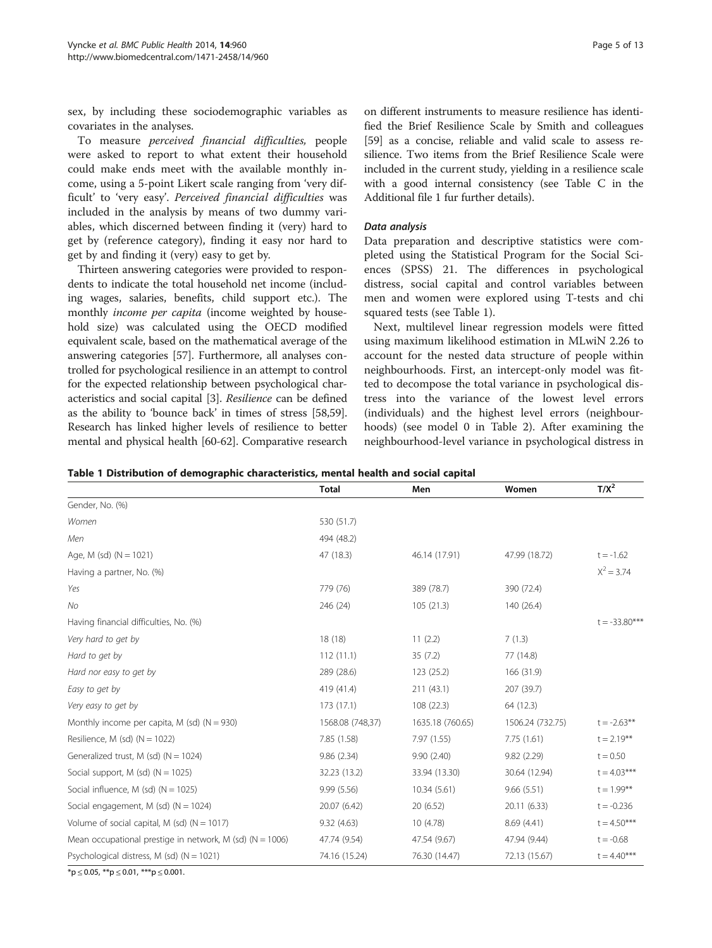<span id="page-4-0"></span>sex, by including these sociodemographic variables as covariates in the analyses.

To measure perceived financial difficulties, people were asked to report to what extent their household could make ends meet with the available monthly income, using a 5-point Likert scale ranging from 'very difficult' to 'very easy'. Perceived financial difficulties was included in the analysis by means of two dummy variables, which discerned between finding it (very) hard to get by (reference category), finding it easy nor hard to get by and finding it (very) easy to get by.

Thirteen answering categories were provided to respondents to indicate the total household net income (including wages, salaries, benefits, child support etc.). The monthly income per capita (income weighted by household size) was calculated using the OECD modified equivalent scale, based on the mathematical average of the answering categories [[57](#page-11-0)]. Furthermore, all analyses controlled for psychological resilience in an attempt to control for the expected relationship between psychological characteristics and social capital [[3\]](#page-10-0). Resilience can be defined as the ability to 'bounce back' in times of stress [\[58,59](#page-11-0)]. Research has linked higher levels of resilience to better mental and physical health [\[60](#page-11-0)-[62](#page-11-0)]. Comparative research

on different instruments to measure resilience has identified the Brief Resilience Scale by Smith and colleagues [[59](#page-11-0)] as a concise, reliable and valid scale to assess resilience. Two items from the Brief Resilience Scale were included in the current study, yielding in a resilience scale with a good internal consistency (see Table C in the Additional file [1](#page-10-0) fur further details).

#### Data analysis

Data preparation and descriptive statistics were completed using the Statistical Program for the Social Sciences (SPSS) 21. The differences in psychological distress, social capital and control variables between men and women were explored using T-tests and chi squared tests (see Table 1).

Next, multilevel linear regression models were fitted using maximum likelihood estimation in MLwiN 2.26 to account for the nested data structure of people within neighbourhoods. First, an intercept-only model was fitted to decompose the total variance in psychological distress into the variance of the lowest level errors (individuals) and the highest level errors (neighbourhoods) (see model 0 in Table [2](#page-5-0)). After examining the neighbourhood-level variance in psychological distress in

|  | Table 1 Distribution of demographic characteristics, mental health and social capital |  |  |  |  |  |  |
|--|---------------------------------------------------------------------------------------|--|--|--|--|--|--|
|--|---------------------------------------------------------------------------------------|--|--|--|--|--|--|

|                                                              | <b>Total</b>     | Men              | Women            | $T/X^2$         |
|--------------------------------------------------------------|------------------|------------------|------------------|-----------------|
| Gender, No. (%)                                              |                  |                  |                  |                 |
| Women                                                        | 530 (51.7)       |                  |                  |                 |
| Men                                                          | 494 (48.2)       |                  |                  |                 |
| Age, M (sd) (N = 1021)                                       | 47 (18.3)        | 46.14 (17.91)    | 47.99 (18.72)    | $t = -1.62$     |
| Having a partner, No. (%)                                    |                  |                  |                  | $X^2 = 3.74$    |
| Yes                                                          | 779 (76)         | 389 (78.7)       | 390 (72.4)       |                 |
| No                                                           | 246 (24)         | 105(21.3)        | 140 (26.4)       |                 |
| Having financial difficulties, No. (%)                       |                  |                  |                  | $t = -33.80***$ |
| Very hard to get by                                          | 18 (18)          | 11(2.2)          | 7(1.3)           |                 |
| Hard to get by                                               | 112(11.1)        | 35(7.2)          | 77 (14.8)        |                 |
| Hard nor easy to get by                                      | 289 (28.6)       | 123(25.2)        | 166 (31.9)       |                 |
| Easy to get by                                               | 419 (41.4)       | 211 (43.1)       | 207 (39.7)       |                 |
| Very easy to get by                                          | 173 (17.1)       | 108 (22.3)       | 64 (12.3)        |                 |
| Monthly income per capita, M (sd) ( $N = 930$ )              | 1568.08 (748,37) | 1635.18 (760.65) | 1506.24 (732.75) | $t = -2.63***$  |
| Resilience, M $(sd)$ (N = 1022)                              | 7.85 (1.58)      | 7.97 (1.55)      | 7.75(1.61)       | $t = 2.19***$   |
| Generalized trust, M (sd) $(N = 1024)$                       | 9.86(2.34)       | 9.90(2.40)       | 9.82(2.29)       | $t = 0.50$      |
| Social support, M (sd) $(N = 1025)$                          | 32.23 (13.2)     | 33.94 (13.30)    | 30.64 (12.94)    | $t = 4.03***$   |
| Social influence, M (sd) $(N = 1025)$                        | 9.99(5.56)       | 10.34 (5.61)     | 9.66(5.51)       | $t = 1.99***$   |
| Social engagement, M (sd) $(N = 1024)$                       | 20.07 (6.42)     | 20(6.52)         | 20.11 (6.33)     | $t = -0.236$    |
| Volume of social capital, M (sd) ( $N = 1017$ )              | 9.32(4.63)       | 10 (4.78)        | 8.69 (4.41)      | $t = 4.50***$   |
| Mean occupational prestige in network, M (sd) ( $N = 1006$ ) | 47.74 (9.54)     | 47.54 (9.67)     | 47.94 (9.44)     | $t = -0.68$     |
| Psychological distress, M (sd) ( $N = 1021$ )                | 74.16 (15.24)    | 76.30 (14.47)    | 72.13 (15.67)    | $t = 4.40***$   |

 $*p \le 0.05$ ,  $**p \le 0.01$ ,  $***p \le 0.001$ .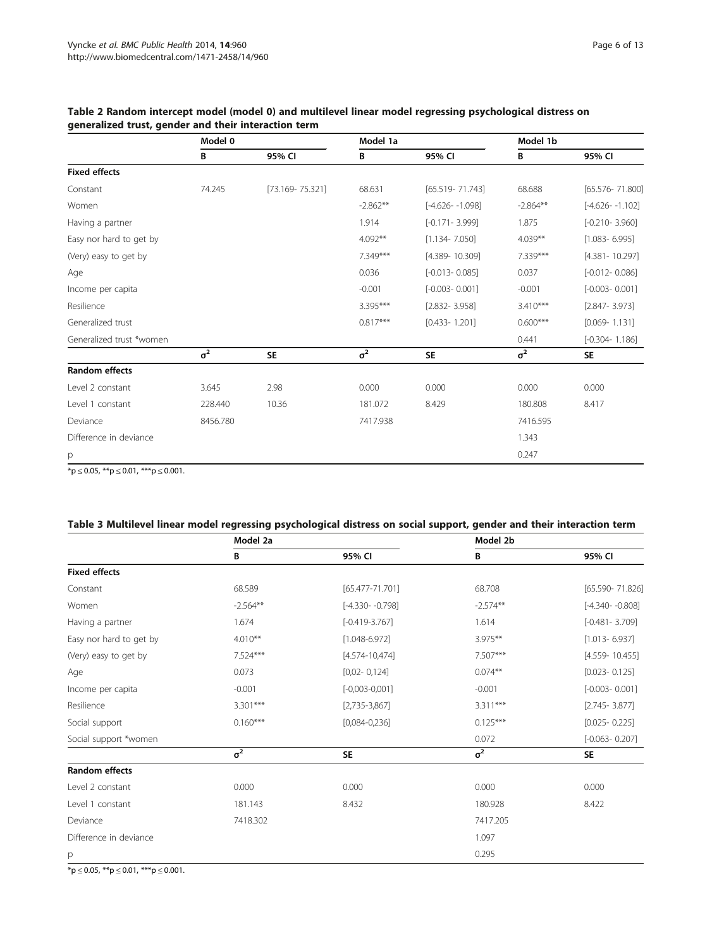|                          | Model 0    |                 | Model 1a   |                     |            | Model 1b            |  |
|--------------------------|------------|-----------------|------------|---------------------|------------|---------------------|--|
|                          | В          | 95% CI          | В          | 95% CI              | В          | 95% CI              |  |
| <b>Fixed effects</b>     |            |                 |            |                     |            |                     |  |
| Constant                 | 74.245     | [73.169-75.321] | 68.631     | $[65.519 - 71.743]$ | 68.688     | $[65.576 - 71.800]$ |  |
| Women                    |            |                 | $-2.862**$ | $[-4.626 - 1.098]$  | $-2.864**$ | $[-4.626 - 1.102]$  |  |
| Having a partner         |            |                 | 1.914      | $[-0.171 - 3.999]$  | 1.875      | $[-0.210 - 3.960]$  |  |
| Easy nor hard to get by  |            |                 | $4.092**$  | $[1.134 - 7.050]$   | $4.039**$  | $[1.083 - 6.995]$   |  |
| (Very) easy to get by    |            |                 | $7.349***$ | [4.389-10.309]      | 7.339***   | $[4.381 - 10.297]$  |  |
| Age                      |            |                 | 0.036      | $[-0.013 - 0.085]$  | 0.037      | $[-0.012 - 0.086]$  |  |
| Income per capita        |            |                 | $-0.001$   | $[-0.003 - 0.001]$  | $-0.001$   | $[-0.003 - 0.001]$  |  |
| Resilience               |            |                 | $3.395***$ | $[2.832 - 3.958]$   | $3.410***$ | $[2.847 - 3.973]$   |  |
| Generalized trust        |            |                 | $0.817***$ | $[0.433 - 1.201]$   | $0.600***$ | $[0.069 - 1.131]$   |  |
| Generalized trust *women |            |                 |            |                     | 0.441      | $[-0.304 - 1.186]$  |  |
|                          | $\sigma^2$ | <b>SE</b>       | $\sigma^2$ | <b>SE</b>           | $\sigma^2$ | <b>SE</b>           |  |
| <b>Random effects</b>    |            |                 |            |                     |            |                     |  |
| Level 2 constant         | 3.645      | 2.98            | 0.000      | 0.000               | 0.000      | 0.000               |  |
| Level 1 constant         | 228.440    | 10.36           | 181.072    | 8.429               | 180.808    | 8.417               |  |
| Deviance                 | 8456.780   |                 | 7417.938   |                     | 7416.595   |                     |  |
| Difference in deviance   |            |                 |            |                     | 1.343      |                     |  |
| p                        |            |                 |            |                     | 0.247      |                     |  |

<span id="page-5-0"></span>Table 2 Random intercept model (model 0) and multilevel linear model regressing psychological distress on generalized trust, gender and their interaction term

## Table 3 Multilevel linear model regressing psychological distress on social support, gender and their interaction term

| Model 2a   |                     | Model 2b   |                     |
|------------|---------------------|------------|---------------------|
| В          | 95% CI              | В          | 95% CI              |
|            |                     |            |                     |
| 68.589     | $[65.477 - 71.701]$ | 68.708     | $[65.590 - 71.826]$ |
| $-2.564**$ | $[-4.330 - 0.798]$  | $-2.574**$ | $[-4.340 - 0.808]$  |
| 1.674      | $[-0.419 - 3.767]$  | 1.614      | $[-0.481 - 3.709]$  |
| $4.010**$  | $[1.048 - 6.972]$   | $3.975***$ | $[1.013 - 6.937]$   |
| $7.524***$ | $[4.574 - 10,474]$  | 7.507***   | $[4.559 - 10.455]$  |
| 0.073      | $[0,02 - 0,124]$    | $0.074**$  | $[0.023 - 0.125]$   |
| $-0.001$   | $[-0,003-0,001]$    | $-0.001$   | $[-0.003 - 0.001]$  |
| 3.301***   | $[2,735-3,867]$     | $3.311***$ | $[2.745 - 3.877]$   |
| $0.160***$ | $[0,084-0,236]$     | $0.125***$ | $[0.025 - 0.225]$   |
|            |                     | 0.072      | $[-0.063 - 0.207]$  |
| $\sigma^2$ | <b>SE</b>           | $\sigma^2$ | <b>SE</b>           |
|            |                     |            |                     |
| 0.000      | 0.000               | 0.000      | 0.000               |
| 181.143    | 8.432               | 180.928    | 8.422               |
| 7418.302   |                     | 7417.205   |                     |
|            |                     | 1.097      |                     |
|            |                     | 0.295      |                     |
|            |                     |            |                     |

 $*$ p  $\leq$  0.05,  $**$ p  $\leq$  0.01,  $***$ p  $\leq$  0.001.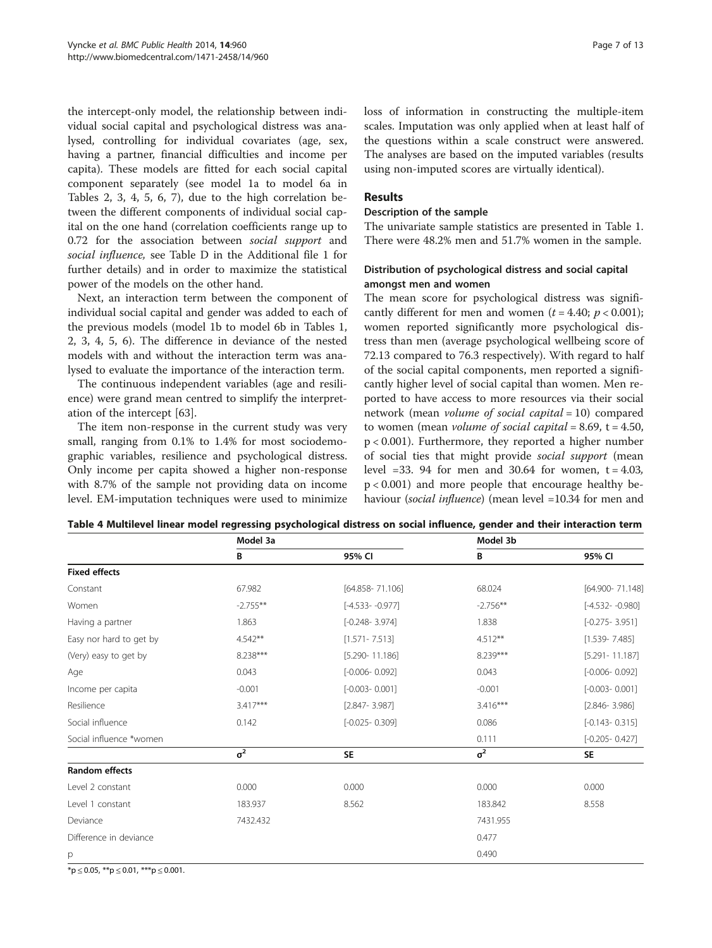<span id="page-6-0"></span>the intercept-only model, the relationship between individual social capital and psychological distress was analysed, controlling for individual covariates (age, sex, having a partner, financial difficulties and income per capita). These models are fitted for each social capital component separately (see model 1a to model 6a in Tables [2, 3,](#page-5-0) 4, [5,](#page-7-0) [6,](#page-8-0) [7](#page-9-0)), due to the high correlation between the different components of individual social capital on the one hand (correlation coefficients range up to 0.72 for the association between social support and social influence, see Table D in the Additional file [1](#page-10-0) for further details) and in order to maximize the statistical power of the models on the other hand.

Next, an interaction term between the component of individual social capital and gender was added to each of the previous models (model 1b to model 6b in Tables [1](#page-4-0), [2, 3](#page-5-0), 4, [5,](#page-7-0) [6](#page-8-0)). The difference in deviance of the nested models with and without the interaction term was analysed to evaluate the importance of the interaction term.

The continuous independent variables (age and resilience) were grand mean centred to simplify the interpretation of the intercept [[63](#page-11-0)].

The item non-response in the current study was very small, ranging from 0.1% to 1.4% for most sociodemographic variables, resilience and psychological distress. Only income per capita showed a higher non-response with 8.7% of the sample not providing data on income level. EM-imputation techniques were used to minimize loss of information in constructing the multiple-item scales. Imputation was only applied when at least half of the questions within a scale construct were answered. The analyses are based on the imputed variables (results using non-imputed scores are virtually identical).

#### Results

#### Description of the sample

The univariate sample statistics are presented in Table [1](#page-4-0). There were 48.2% men and 51.7% women in the sample.

## Distribution of psychological distress and social capital amongst men and women

The mean score for psychological distress was significantly different for men and women  $(t = 4.40; p < 0.001)$ ; women reported significantly more psychological distress than men (average psychological wellbeing score of 72.13 compared to 76.3 respectively). With regard to half of the social capital components, men reported a significantly higher level of social capital than women. Men reported to have access to more resources via their social network (mean *volume of social capital* = 10) compared to women (mean *volume of social capital* = 8.69, t = 4.50, p < 0.001). Furthermore, they reported a higher number of social ties that might provide social support (mean level =33. 94 for men and 30.64 for women,  $t = 4.03$ , p < 0.001) and more people that encourage healthy behaviour (social influence) (mean level =10.34 for men and

| Table 4 Multilevel linear model regressing psychological distress on social influence, gender and their interaction term |  |  |
|--------------------------------------------------------------------------------------------------------------------------|--|--|
|--------------------------------------------------------------------------------------------------------------------------|--|--|

|                                                                                                                                                                                                                                                                                                                     | Model 3a    |                     | Model 3b   |                     |
|---------------------------------------------------------------------------------------------------------------------------------------------------------------------------------------------------------------------------------------------------------------------------------------------------------------------|-------------|---------------------|------------|---------------------|
|                                                                                                                                                                                                                                                                                                                     | B           | 95% CI              | B          | 95% CI              |
| <b>Fixed effects</b>                                                                                                                                                                                                                                                                                                |             |                     |            |                     |
| Constant                                                                                                                                                                                                                                                                                                            | 67.982      | $[64.858 - 71.106]$ | 68.024     | $[64.900 - 71.148]$ |
| Women                                                                                                                                                                                                                                                                                                               | $-2.755***$ | $[-4.533 - 0.977]$  | $-2.756**$ | $[-4.532 - 0.980]$  |
| Having a partner                                                                                                                                                                                                                                                                                                    | 1.863       | $[-0.248 - 3.974]$  | 1.838      | $[-0.275 - 3.951]$  |
| Easy nor hard to get by                                                                                                                                                                                                                                                                                             | $4.542**$   | $[1.571 - 7.513]$   | $4.512**$  | $[1.539 - 7.485]$   |
| (Very) easy to get by                                                                                                                                                                                                                                                                                               | 8.238***    | $[5.290 - 11.186]$  | 8.239***   | $[5.291 - 11.187]$  |
| Age                                                                                                                                                                                                                                                                                                                 | 0.043       | $[-0.006 - 0.092]$  | 0.043      | $[-0.006 - 0.092]$  |
| Income per capita                                                                                                                                                                                                                                                                                                   | $-0.001$    | $[-0.003 - 0.001]$  | $-0.001$   | $[-0.003 - 0.001]$  |
| Resilience                                                                                                                                                                                                                                                                                                          | $3.417***$  | $[2.847 - 3.987]$   | $3.416***$ | $[2.846 - 3.986]$   |
| Social influence                                                                                                                                                                                                                                                                                                    | 0.142       | $[-0.025 - 0.309]$  | 0.086      | $[-0.143 - 0.315]$  |
| Social influence *women                                                                                                                                                                                                                                                                                             |             |                     | 0.111      | $[-0.205 - 0.427]$  |
|                                                                                                                                                                                                                                                                                                                     | $\sigma^2$  | <b>SE</b>           | $\sigma^2$ | <b>SE</b>           |
| <b>Random effects</b>                                                                                                                                                                                                                                                                                               |             |                     |            |                     |
| Level 2 constant                                                                                                                                                                                                                                                                                                    | 0.000       | 0.000               | 0.000      | 0.000               |
| Level 1 constant                                                                                                                                                                                                                                                                                                    | 183.937     | 8.562               | 183.842    | 8.558               |
| Deviance                                                                                                                                                                                                                                                                                                            | 7432.432    |                     | 7431.955   |                     |
| Difference in deviance                                                                                                                                                                                                                                                                                              |             |                     | 0.477      |                     |
| p                                                                                                                                                                                                                                                                                                                   |             |                     | 0.490      |                     |
| $\frac{1}{2}$ $\frac{1}{2}$ $\frac{1}{2}$ $\frac{1}{2}$ $\frac{1}{2}$ $\frac{1}{2}$ $\frac{1}{2}$ $\frac{1}{2}$ $\frac{1}{2}$ $\frac{1}{2}$ $\frac{1}{2}$ $\frac{1}{2}$ $\frac{1}{2}$ $\frac{1}{2}$ $\frac{1}{2}$ $\frac{1}{2}$ $\frac{1}{2}$ $\frac{1}{2}$ $\frac{1}{2}$ $\frac{1}{2}$ $\frac{1}{2}$ $\frac{1}{2}$ |             |                     |            |                     |

\*p ≤ 0.05, \*\*p ≤ 0.01, \*\*\*p ≤ 0.001.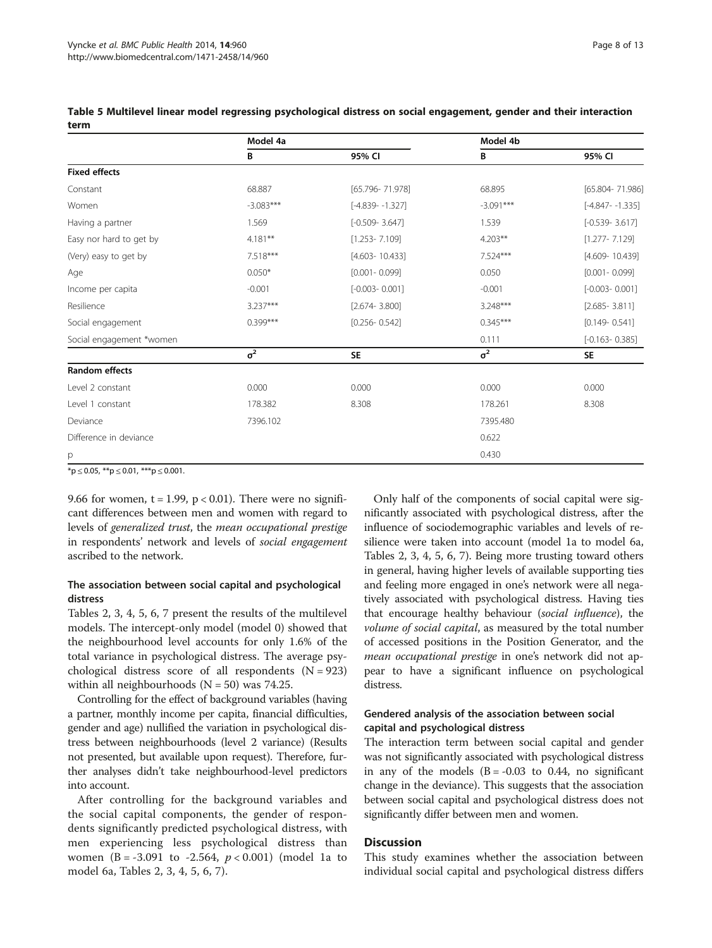|                          | Model 4a    |                     | Model 4b    |                     |
|--------------------------|-------------|---------------------|-------------|---------------------|
|                          | В           | 95% CI              | B           | 95% CI              |
| <b>Fixed effects</b>     |             |                     |             |                     |
| Constant                 | 68.887      | $[65.796 - 71.978]$ | 68.895      | $[65.804 - 71.986]$ |
| Women                    | $-3.083***$ | $[-4.839 - 1.327]$  | $-3.091***$ | $[-4.847 - 1.335]$  |
| Having a partner         | 1.569       | $[-0.509 - 3.647]$  | 1.539       | $[-0.539 - 3.617]$  |
| Easy nor hard to get by  | $4.181***$  | $[1.253 - 7.109]$   | $4.203**$   | $[1.277 - 7.129]$   |
| (Very) easy to get by    | 7.518***    | $[4.603 - 10.433]$  | 7.524***    | $[4.609 - 10.439]$  |
| Age                      | $0.050*$    | $[0.001 - 0.099]$   | 0.050       | $[0.001 - 0.099]$   |
| Income per capita        | $-0.001$    | $[-0.003 - 0.001]$  | $-0.001$    | $[-0.003 - 0.001]$  |
| Resilience               | $3.237***$  | $[2.674 - 3.800]$   | $3.248***$  | $[2.685 - 3.811]$   |
| Social engagement        | $0.399***$  | $[0.256 - 0.542]$   | $0.345***$  | $[0.149 - 0.541]$   |
| Social engagement *women |             |                     | 0.111       | $[-0.163 - 0.385]$  |
|                          | $\sigma^2$  | <b>SE</b>           | $\sigma^2$  | <b>SE</b>           |
| <b>Random effects</b>    |             |                     |             |                     |
| Level 2 constant         | 0.000       | 0.000               | 0.000       | 0.000               |
| Level 1 constant         | 178.382     | 8.308               | 178.261     | 8.308               |
| Deviance                 | 7396.102    |                     | 7395.480    |                     |
| Difference in deviance   |             |                     | 0.622       |                     |
| р                        |             |                     | 0.430       |                     |

<span id="page-7-0"></span>Table 5 Multilevel linear model regressing psychological distress on social engagement, gender and their interaction term

9.66 for women,  $t = 1.99$ ,  $p < 0.01$ ). There were no significant differences between men and women with regard to levels of generalized trust, the mean occupational prestige in respondents' network and levels of social engagement ascribed to the network.

## The association between social capital and psychological distress

Tables [2, 3,](#page-5-0) [4,](#page-6-0) 5, [6](#page-8-0), [7](#page-9-0) present the results of the multilevel models. The intercept-only model (model 0) showed that the neighbourhood level accounts for only 1.6% of the total variance in psychological distress. The average psychological distress score of all respondents  $(N = 923)$ within all neighbourhoods ( $N = 50$ ) was 74.25.

Controlling for the effect of background variables (having a partner, monthly income per capita, financial difficulties, gender and age) nullified the variation in psychological distress between neighbourhoods (level 2 variance) (Results not presented, but available upon request). Therefore, further analyses didn't take neighbourhood-level predictors into account.

After controlling for the background variables and the social capital components, the gender of respondents significantly predicted psychological distress, with men experiencing less psychological distress than women (B = -3.091 to -2.564,  $p < 0.001$ ) (model 1a to model 6a, Tables [2](#page-5-0), [3](#page-5-0), [4,](#page-6-0) 5, [6,](#page-8-0) [7](#page-9-0)).

Only half of the components of social capital were significantly associated with psychological distress, after the influence of sociodemographic variables and levels of resilience were taken into account (model 1a to model 6a, Tables [2](#page-5-0), [3](#page-5-0), [4,](#page-6-0) 5, [6](#page-8-0), [7](#page-9-0)). Being more trusting toward others in general, having higher levels of available supporting ties and feeling more engaged in one's network were all negatively associated with psychological distress. Having ties that encourage healthy behaviour (social influence), the volume of social capital, as measured by the total number of accessed positions in the Position Generator, and the mean occupational prestige in one's network did not appear to have a significant influence on psychological distress.

## Gendered analysis of the association between social capital and psychological distress

The interaction term between social capital and gender was not significantly associated with psychological distress in any of the models  $(B = -0.03$  to 0.44, no significant change in the deviance). This suggests that the association between social capital and psychological distress does not significantly differ between men and women.

## Discussion

This study examines whether the association between individual social capital and psychological distress differs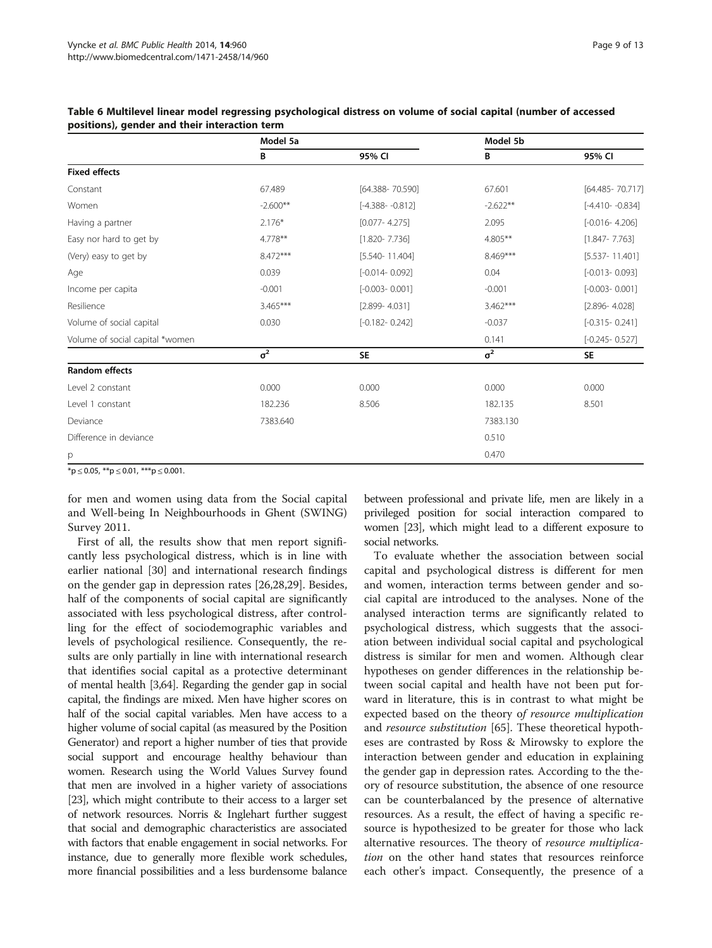|                                 | Model 5a   |                    | Model 5b   |                     |
|---------------------------------|------------|--------------------|------------|---------------------|
|                                 | В          | 95% CI             | B          | 95% CI              |
| <b>Fixed effects</b>            |            |                    |            |                     |
| Constant                        | 67.489     | [64.388-70.590]    | 67.601     | $[64.485 - 70.717]$ |
| Women                           | $-2.600**$ | $[-4.388 - 0.812]$ | $-2.622**$ | $[-4.410 - -0.834]$ |
| Having a partner                | $2.176*$   | $[0.077 - 4.275]$  | 2.095      | $[-0.016 - 4.206]$  |
| Easy nor hard to get by         | $4.778**$  | $[1.820 - 7.736]$  | 4.805**    | $[1.847 - 7.763]$   |
| (Very) easy to get by           | 8.472***   | $[5.540 - 11.404]$ | 8.469***   | $[5.537 - 11.401]$  |
| Age                             | 0.039      | $[-0.014 - 0.092]$ | 0.04       | $[-0.013 - 0.093]$  |
| Income per capita               | $-0.001$   | $[-0.003 - 0.001]$ | $-0.001$   | $[-0.003 - 0.001]$  |
| Resilience                      | $3.465***$ | $[2.899 - 4.031]$  | $3.462***$ | $[2.896 - 4.028]$   |
| Volume of social capital        | 0.030      | $[-0.182 - 0.242]$ | $-0.037$   | $[-0.315 - 0.241]$  |
| Volume of social capital *women |            |                    | 0.141      | $[-0.245 - 0.527]$  |
|                                 | $\sigma^2$ | <b>SE</b>          | $\sigma^2$ | <b>SE</b>           |
| <b>Random effects</b>           |            |                    |            |                     |
| Level 2 constant                | 0.000      | 0.000              | 0.000      | 0.000               |
| Level 1 constant                | 182.236    | 8.506              | 182.135    | 8.501               |
| Deviance                        | 7383.640   |                    | 7383.130   |                     |
| Difference in deviance          |            |                    | 0.510      |                     |
| р                               |            |                    | 0.470      |                     |

<span id="page-8-0"></span>Table 6 Multilevel linear model regressing psychological distress on volume of social capital (number of accessed positions), gender and their interaction term

for men and women using data from the Social capital and Well-being In Neighbourhoods in Ghent (SWING) Survey 2011.

First of all, the results show that men report significantly less psychological distress, which is in line with earlier national [[30\]](#page-11-0) and international research findings on the gender gap in depression rates [\[26,28,29](#page-11-0)]. Besides, half of the components of social capital are significantly associated with less psychological distress, after controlling for the effect of sociodemographic variables and levels of psychological resilience. Consequently, the results are only partially in line with international research that identifies social capital as a protective determinant of mental health [\[3,](#page-10-0)[64](#page-12-0)]. Regarding the gender gap in social capital, the findings are mixed. Men have higher scores on half of the social capital variables. Men have access to a higher volume of social capital (as measured by the Position Generator) and report a higher number of ties that provide social support and encourage healthy behaviour than women. Research using the World Values Survey found that men are involved in a higher variety of associations [[23](#page-11-0)], which might contribute to their access to a larger set of network resources. Norris & Inglehart further suggest that social and demographic characteristics are associated with factors that enable engagement in social networks. For instance, due to generally more flexible work schedules, more financial possibilities and a less burdensome balance between professional and private life, men are likely in a privileged position for social interaction compared to women [[23](#page-11-0)], which might lead to a different exposure to social networks.

To evaluate whether the association between social capital and psychological distress is different for men and women, interaction terms between gender and social capital are introduced to the analyses. None of the analysed interaction terms are significantly related to psychological distress, which suggests that the association between individual social capital and psychological distress is similar for men and women. Although clear hypotheses on gender differences in the relationship between social capital and health have not been put forward in literature, this is in contrast to what might be expected based on the theory of resource multiplication and *resource substitution* [[65\]](#page-12-0). These theoretical hypotheses are contrasted by Ross & Mirowsky to explore the interaction between gender and education in explaining the gender gap in depression rates. According to the theory of resource substitution, the absence of one resource can be counterbalanced by the presence of alternative resources. As a result, the effect of having a specific resource is hypothesized to be greater for those who lack alternative resources. The theory of *resource multiplica*tion on the other hand states that resources reinforce each other's impact. Consequently, the presence of a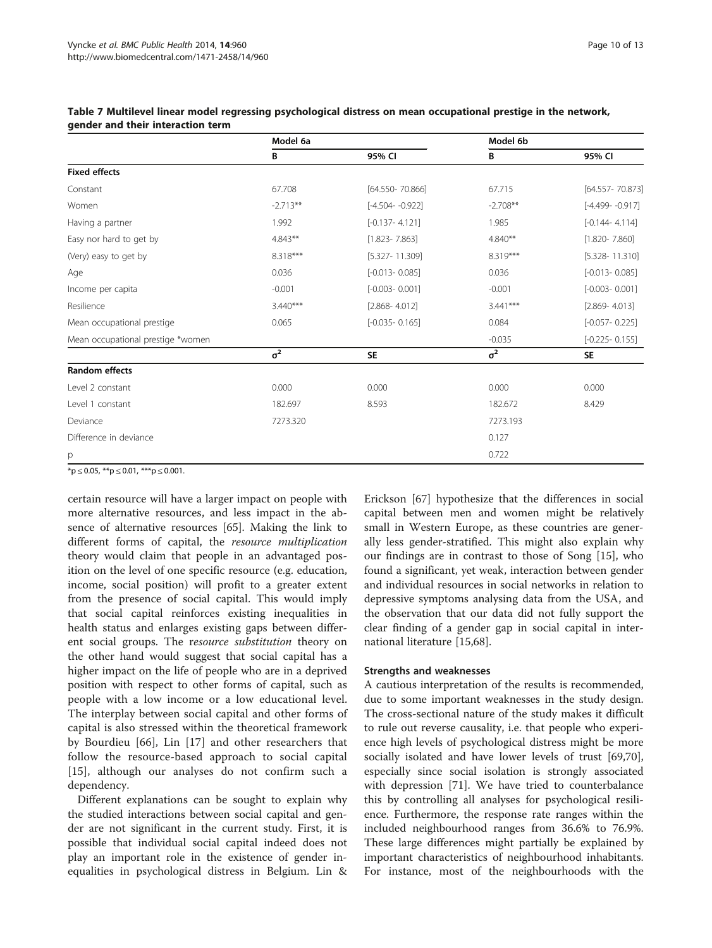|                                   | Model 6a   |                     | Model 6b   |                     |
|-----------------------------------|------------|---------------------|------------|---------------------|
|                                   | B          | 95% CI              | В          | 95% CI              |
| <b>Fixed effects</b>              |            |                     |            |                     |
| Constant                          | 67.708     | $[64.550 - 70.866]$ | 67.715     | $[64.557 - 70.873]$ |
| Women                             | $-2.713**$ | $[-4.504 - 0.922]$  | $-2.708**$ | $[-4.499 - 0.917]$  |
| Having a partner                  | 1.992      | $[-0.137 - 4.121]$  | 1.985      | $[-0.144 - 4.114]$  |
| Easy nor hard to get by           | $4.843**$  | $[1.823 - 7.863]$   | $4.840**$  | $[1.820 - 7.860]$   |
| (Very) easy to get by             | 8.318***   | $[5.327 - 11.309]$  | 8.319***   | $[5.328 - 11.310]$  |
| Age                               | 0.036      | $[-0.013 - 0.085]$  | 0.036      | $[-0.013 - 0.085]$  |
| Income per capita                 | $-0.001$   | $[-0.003 - 0.001]$  | $-0.001$   | $[-0.003 - 0.001]$  |
| Resilience                        | $3.440***$ | $[2.868 - 4.012]$   | $3.441***$ | $[2.869 - 4.013]$   |
| Mean occupational prestige        | 0.065      | $[-0.035 - 0.165]$  | 0.084      | $[-0.057 - 0.225]$  |
| Mean occupational prestige *women |            |                     | $-0.035$   | $[-0.225 - 0.155]$  |
|                                   | $\sigma^2$ | <b>SE</b>           | $\sigma^2$ | <b>SE</b>           |
| <b>Random effects</b>             |            |                     |            |                     |
| Level 2 constant                  | 0.000      | 0.000               | 0.000      | 0.000               |
| Level 1 constant                  | 182.697    | 8.593               | 182.672    | 8.429               |
| Deviance                          | 7273.320   |                     | 7273.193   |                     |
| Difference in deviance            |            |                     | 0.127      |                     |
| p                                 |            |                     | 0.722      |                     |

<span id="page-9-0"></span>Table 7 Multilevel linear model regressing psychological distress on mean occupational prestige in the network, gender and their interaction term

certain resource will have a larger impact on people with more alternative resources, and less impact in the absence of alternative resources [[65](#page-12-0)]. Making the link to different forms of capital, the resource multiplication theory would claim that people in an advantaged position on the level of one specific resource (e.g. education, income, social position) will profit to a greater extent from the presence of social capital. This would imply that social capital reinforces existing inequalities in health status and enlarges existing gaps between different social groups. The resource substitution theory on the other hand would suggest that social capital has a higher impact on the life of people who are in a deprived position with respect to other forms of capital, such as people with a low income or a low educational level. The interplay between social capital and other forms of capital is also stressed within the theoretical framework by Bourdieu [[66\]](#page-12-0), Lin [\[17](#page-11-0)] and other researchers that follow the resource-based approach to social capital [[15\]](#page-11-0), although our analyses do not confirm such a dependency.

Different explanations can be sought to explain why the studied interactions between social capital and gender are not significant in the current study. First, it is possible that individual social capital indeed does not play an important role in the existence of gender inequalities in psychological distress in Belgium. Lin & Erickson [[67\]](#page-12-0) hypothesize that the differences in social capital between men and women might be relatively small in Western Europe, as these countries are generally less gender-stratified. This might also explain why our findings are in contrast to those of Song [\[15\]](#page-11-0), who found a significant, yet weak, interaction between gender and individual resources in social networks in relation to depressive symptoms analysing data from the USA, and the observation that our data did not fully support the clear finding of a gender gap in social capital in international literature [\[15](#page-11-0)[,68\]](#page-12-0).

#### Strengths and weaknesses

A cautious interpretation of the results is recommended, due to some important weaknesses in the study design. The cross-sectional nature of the study makes it difficult to rule out reverse causality, i.e. that people who experience high levels of psychological distress might be more socially isolated and have lower levels of trust [\[69,70](#page-12-0)], especially since social isolation is strongly associated with depression [\[71](#page-12-0)]. We have tried to counterbalance this by controlling all analyses for psychological resilience. Furthermore, the response rate ranges within the included neighbourhood ranges from 36.6% to 76.9%. These large differences might partially be explained by important characteristics of neighbourhood inhabitants. For instance, most of the neighbourhoods with the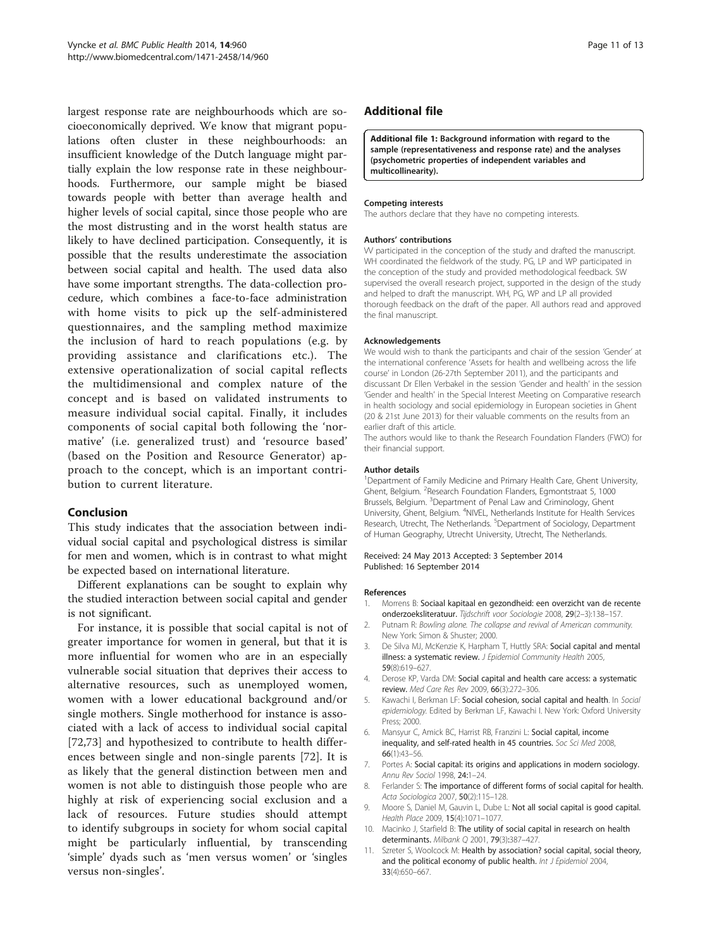<span id="page-10-0"></span>largest response rate are neighbourhoods which are socioeconomically deprived. We know that migrant populations often cluster in these neighbourhoods: an insufficient knowledge of the Dutch language might partially explain the low response rate in these neighbourhoods. Furthermore, our sample might be biased towards people with better than average health and higher levels of social capital, since those people who are the most distrusting and in the worst health status are likely to have declined participation. Consequently, it is possible that the results underestimate the association between social capital and health. The used data also have some important strengths. The data-collection procedure, which combines a face-to-face administration with home visits to pick up the self-administered questionnaires, and the sampling method maximize the inclusion of hard to reach populations (e.g. by providing assistance and clarifications etc.). The extensive operationalization of social capital reflects the multidimensional and complex nature of the concept and is based on validated instruments to measure individual social capital. Finally, it includes components of social capital both following the 'normative' (i.e. generalized trust) and 'resource based' (based on the Position and Resource Generator) approach to the concept, which is an important contribution to current literature.

## Conclusion

This study indicates that the association between individual social capital and psychological distress is similar for men and women, which is in contrast to what might be expected based on international literature.

Different explanations can be sought to explain why the studied interaction between social capital and gender is not significant.

For instance, it is possible that social capital is not of greater importance for women in general, but that it is more influential for women who are in an especially vulnerable social situation that deprives their access to alternative resources, such as unemployed women, women with a lower educational background and/or single mothers. Single motherhood for instance is associated with a lack of access to individual social capital [[72,73](#page-12-0)] and hypothesized to contribute to health differences between single and non-single parents [\[72](#page-12-0)]. It is as likely that the general distinction between men and women is not able to distinguish those people who are highly at risk of experiencing social exclusion and a lack of resources. Future studies should attempt to identify subgroups in society for whom social capital might be particularly influential, by transcending 'simple' dyads such as 'men versus women' or 'singles versus non-singles'.

## Additional file

[Additional file 1:](http://www.biomedcentral.com/content/supplementary/1471-2458-14-960-S1.docx) Background information with regard to the sample (representativeness and response rate) and the analyses (psychometric properties of independent variables and multicollinearity).

#### Competing interests

The authors declare that they have no competing interests.

#### Authors' contributions

VV participated in the conception of the study and drafted the manuscript. WH coordinated the fieldwork of the study. PG, LP and WP participated in the conception of the study and provided methodological feedback. SW supervised the overall research project, supported in the design of the study and helped to draft the manuscript. WH, PG, WP and LP all provided thorough feedback on the draft of the paper. All authors read and approved the final manuscript.

#### Acknowledgements

We would wish to thank the participants and chair of the session 'Gender' at the international conference 'Assets for health and wellbeing across the life course' in London (26-27th September 2011), and the participants and discussant Dr Ellen Verbakel in the session 'Gender and health' in the session 'Gender and health' in the Special Interest Meeting on Comparative research in health sociology and social epidemiology in European societies in Ghent (20 & 21st June 2013) for their valuable comments on the results from an earlier draft of this article.

The authors would like to thank the Research Foundation Flanders (FWO) for their financial support.

#### Author details

<sup>1</sup>Department of Family Medicine and Primary Health Care, Ghent University Ghent, Belgium. <sup>2</sup>Research Foundation Flanders, Egmontstraat 5, 1000 Brussels, Belgium. <sup>3</sup>Department of Penal Law and Criminology, Ghent University, Ghent, Belgium. <sup>4</sup>NIVEL, Netherlands Institute for Health Services Research, Utrecht, The Netherlands. <sup>5</sup>Department of Sociology, Department of Human Geography, Utrecht University, Utrecht, The Netherlands.

#### Received: 24 May 2013 Accepted: 3 September 2014 Published: 16 September 2014

#### References

- 1. Morrens B: Sociaal kapitaal en gezondheid: een overzicht van de recente onderzoeksliteratuur. Tijdschrift voor Sociologie 2008, 29(2–3):138–157.
- 2. Putnam R: Bowling alone. The collapse and revival of American community. New York: Simon & Shuster; 2000.
- 3. De Silva MJ, McKenzie K, Harpham T, Huttly SRA: Social capital and mental illness: a systematic review. J Epidemiol Community Health 2005, 59(8):619–627.
- 4. Derose KP, Varda DM: Social capital and health care access: a systematic review. Med Care Res Rev 2009, 66(3):272–306.
- Kawachi I, Berkman LF: Social cohesion, social capital and health. In Social epidemiology. Edited by Berkman LF, Kawachi I. New York: Oxford University Press; 2000.
- 6. Mansyur C, Amick BC, Harrist RB, Franzini L: Social capital, income inequality, and self-rated health in 45 countries. Soc Sci Med 2008, 66(1):43–56.
- 7. Portes A: Social capital: its origins and applications in modern sociology. Annu Rev Sociol 1998, 24:1–24.
- Ferlander S: The importance of different forms of social capital for health. Acta Sociologica 2007, 50(2):115–128.
- 9. Moore S, Daniel M, Gauvin L, Dube L: Not all social capital is good capital. Health Place 2009, 15(4):1071–1077.
- 10. Macinko J, Starfield B: The utility of social capital in research on health determinants. Milbank Q 2001, 79(3):387–427.
- 11. Szreter S, Woolcock M: Health by association? social capital, social theory, and the political economy of public health. Int J Epidemiol 2004, 33(4):650–667.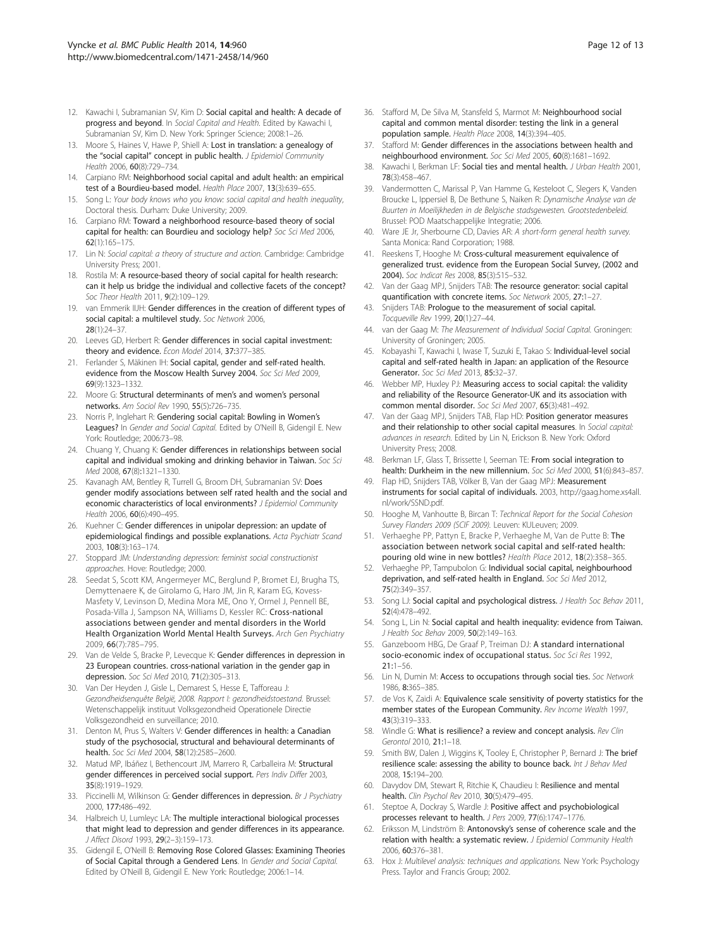- <span id="page-11-0"></span>12. Kawachi I, Subramanian SV, Kim D: Social capital and health: A decade of progress and beyond. In Social Capital and Health. Edited by Kawachi I, Subramanian SV, Kim D. New York: Springer Science; 2008:1–26.
- 13. Moore S, Haines V, Hawe P, Shiell A: Lost in translation: a genealogy of the "social capital" concept in public health. J Epidemiol Community Health 2006, 60(8):729–734.
- 14. Carpiano RM: Neighborhood social capital and adult health: an empirical test of a Bourdieu-based model. Health Place 2007, 13(3):639-655.
- 15. Song L: Your body knows who you know: social capital and health inequality, Doctoral thesis. Durham: Duke University; 2009.
- 16. Carpiano RM: Toward a neighborhood resource-based theory of social capital for health: can Bourdieu and sociology help? Soc Sci Med 2006, 62(1):165–175.
- 17. Lin N: Social capital: a theory of structure and action. Cambridge: Cambridge University Press; 2001.
- 18. Rostila M: A resource-based theory of social capital for health research: can it help us bridge the individual and collective facets of the concept? Soc Theor Health 2011, 9(2):109–129.
- 19. van Emmerik IIJH: Gender differences in the creation of different types of social capital: a multilevel study. Soc Network 2006, 28(1):24–37.
- 20. Leeves GD, Herbert R: Gender differences in social capital investment: theory and evidence. Econ Model 2014, 37:377–385.
- 21. Ferlander S, Mäkinen IH: Social capital, gender and self-rated health. evidence from the Moscow Health Survey 2004. Soc Sci Med 2009, 69(9):1323–1332.
- 22. Moore G: Structural determinants of men's and women's personal networks. Am Sociol Rev 1990, 55(5):726–735.
- 23. Norris P, Inglehart R: Gendering social capital: Bowling in Women's Leagues? In Gender and Social Capital. Edited by O'Neill B, Gidengil E. New York: Routledge; 2006:73–98.
- 24. Chuang Y, Chuang K: Gender differences in relationships between social capital and individual smoking and drinking behavior in Taiwan. Soc Sci Med 2008, 67(8):1321–1330.
- 25. Kavanagh AM, Bentley R, Turrell G, Broom DH, Subramanian SV: Does gender modify associations between self rated health and the social and economic characteristics of local environments? J Epidemiol Community Health 2006, 60(6):490–495.
- 26. Kuehner C: Gender differences in unipolar depression: an update of epidemiological findings and possible explanations. Acta Psychiatr Scand 2003, 108(3):163–174.
- 27. Stoppard JM: Understanding depression: feminist social constructionist approaches. Hove: Routledge; 2000.
- 28. Seedat S, Scott KM, Angermeyer MC, Berglund P, Bromet EJ, Brugha TS, Demyttenaere K, de Girolamo G, Haro JM, Jin R, Karam EG, Kovess-Masfety V, Levinson D, Medina Mora ME, Ono Y, Ormel J, Pennell BE, Posada-Villa J, Sampson NA, Williams D, Kessler RC: Cross-national associations between gender and mental disorders in the World Health Organization World Mental Health Surveys. Arch Gen Psychiatry 2009, 66(7):785–795.
- 29. Van de Velde S, Bracke P, Levecque K: Gender differences in depression in 23 European countries. cross-national variation in the gender gap in depression. Soc Sci Med 2010, 71(2):305–313.
- 30. Van Der Heyden J, Gisle L, Demarest S, Hesse E, Tafforeau J: Gezondheidsenquête België, 2008. Rapport I: gezondheidstoestand. Brussel: Wetenschappelijk instituut Volksgezondheid Operationele Directie Volksgezondheid en surveillance; 2010.
- 31. Denton M, Prus S, Walters V: Gender differences in health: a Canadian study of the psychosocial, structural and behavioural determinants of health. Soc Sci Med 2004, 58(12):2585–2600.
- 32. Matud MP, Ibáñez I, Bethencourt JM, Marrero R, Carballeira M: Structural gender differences in perceived social support. Pers Indiv Differ 2003, 35(8):1919–1929.
- 33. Piccinelli M, Wilkinson G: Gender differences in depression. Br J Psychiatry 2000, 177:486–492.
- 34. Halbreich U, Lumleyc LA: The multiple interactional biological processes that might lead to depression and gender differences in its appearance. J Affect Disord 1993, 29(2–3):159–173.
- 35. Gidengil E, O'Neill B: Removing Rose Colored Glasses: Examining Theories of Social Capital through a Gendered Lens. In Gender and Social Capital. Edited by O'Neill B, Gidengil E. New York: Routledge; 2006:1–14.
- 36. Stafford M, De Silva M, Stansfeld S, Marmot M: Neighbourhood social capital and common mental disorder: testing the link in a general population sample. Health Place 2008, 14(3):394–405.
- 37. Stafford M: Gender differences in the associations between health and neighbourhood environment. Soc Sci Med 2005, 60(8):1681–1692.
- 38. Kawachi I, Berkman LF: Social ties and mental health. J Urban Health 2001, 78(3):458–467.
- 39. Vandermotten C, Marissal P, Van Hamme G, Kesteloot C, Slegers K, Vanden Broucke L, Ippersiel B, De Bethune S, Naiken R: Dynamische Analyse van de Buurten in Moeilijkheden in de Belgische stadsgewesten. Grootstedenbeleid. Brussel: POD Maatschappelijke Integratie; 2006.
- 40. Ware JE Jr, Sherbourne CD, Davies AR: A short-form general health survey. Santa Monica: Rand Corporation; 1988.
- 41. Reeskens T, Hooghe M: Cross-cultural measurement equivalence of generalized trust. evidence from the European Social Survey, (2002 and 2004). Soc Indicat Res 2008, 85(3):515–532.
- 42. Van der Gaag MPJ, Snijders TAB: The resource generator: social capital quantification with concrete items. Soc Network 2005, 27:1–27.
- 43. Snijders TAB: Prologue to the measurement of social capital. Tocqueville Rev 1999, 20(1):27–44.
- 44. van der Gaag M: The Measurement of Individual Social Capital. Groningen: University of Groningen; 2005.
- 45. Kobayashi T, Kawachi I, Iwase T, Suzuki E, Takao S: Individual-level social capital and self-rated health in Japan: an application of the Resource Generator. Soc Sci Med 2013, 85:32–37.
- 46. Webber MP, Huxley PJ: Measuring access to social capital: the validity and reliability of the Resource Generator-UK and its association with common mental disorder. Soc Sci Med 2007, 65(3):481–492.
- 47. Van der Gaag MPJ, Snijders TAB, Flap HD: Position generator measures and their relationship to other social capital measures. In Social capital: advances in research. Edited by Lin N, Erickson B. New York: Oxford University Press; 2008.
- 48. Berkman LF, Glass T, Brissette I, Seeman TE: From social integration to health: Durkheim in the new millennium. Soc Sci Med 2000, 51(6):843–857.
- 49. Flap HD, Snijders TAB, Völker B, Van der Gaag MPJ: Measurement instruments for social capital of individuals. 2003, [http://gaag.home.xs4all.](http://gaag.home.xs4all.nl/work/SSND.pdf) [nl/work/SSND.pdf](http://gaag.home.xs4all.nl/work/SSND.pdf).
- 50. Hooghe M, Vanhoutte B, Bircan T: Technical Report for the Social Cohesion Survey Flanders 2009 (SCIF 2009). Leuven: KULeuven; 2009.
- 51. Verhaeghe PP, Pattyn E, Bracke P, Verhaeghe M, Van de Putte B: The association between network social capital and self-rated health: pouring old wine in new bottles? Health Place 2012, 18(2):358-365.
- 52. Verhaeghe PP, Tampubolon G: Individual social capital, neighbourhood deprivation, and self-rated health in England. Soc Sci Med 2012, 75(2):349–357.
- 53. Song LJ: Social capital and psychological distress. J Health Soc Behav 2011, 52(4):478–492.
- 54. Song L, Lin N: Social capital and health inequality: evidence from Taiwan. J Health Soc Behav 2009, 50(2):149–163.
- 55. Ganzeboom HBG, De Graaf P, Treiman DJ: A standard international socio-economic index of occupational status. Soc Sci Res 1992, 21:1–56.
- 56. Lin N, Dumin M: Access to occupations through social ties. Soc Network 1986, 8:365–385.
- 57. de Vos K, Zaidi A: Equivalence scale sensitivity of poverty statistics for the member states of the European Community. Rev Income Wealth 1997, 43(3):319–333.
- 58. Windle G: What is resilience? a review and concept analysis. Rev Clin Gerontol 2010, 21:1–18.
- 59. Smith BW, Dalen J, Wiggins K, Tooley E, Christopher P, Bernard J: The brief resilience scale: assessing the ability to bounce back. Int J Behav Med 2008, 15:194–200.
- 60. Davydov DM, Stewart R, Ritchie K, Chaudieu I: Resilience and mental health. Clin Psychol Rev 2010, 30(5):479–495.
- 61. Steptoe A, Dockray S, Wardle J: Positive affect and psychobiological processes relevant to health. J Pers 2009, 77(6):1747-1776.
- 62. Eriksson M, Lindström B: Antonovsky's sense of coherence scale and the relation with health: a systematic review. J Epidemiol Community Health 2006, 60:376–381.
- 63. Hox J: Multilevel analysis: techniques and applications. New York: Psychology Press. Taylor and Francis Group; 2002.